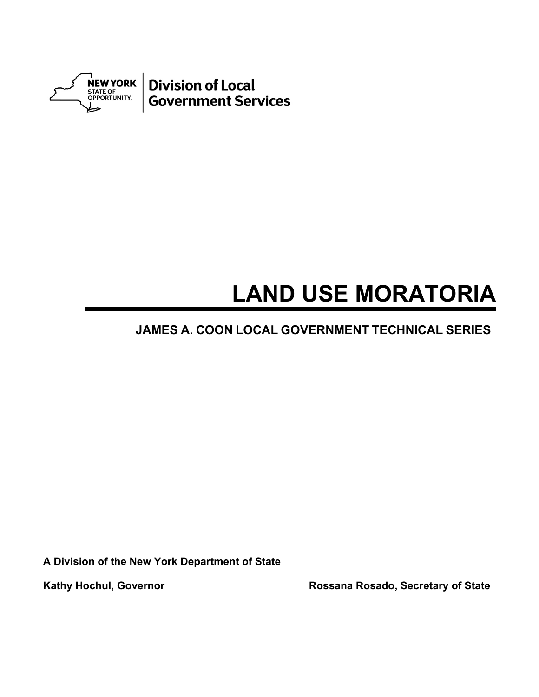

# **LAND USE MORATORIA**

## **JAMES A. COON LOCAL GOVERNMENT TECHNICAL SERIES**

**A Division of the New York Department of State** 

Kathy Hochul, Governor **Rossana Rosado, Secretary of State**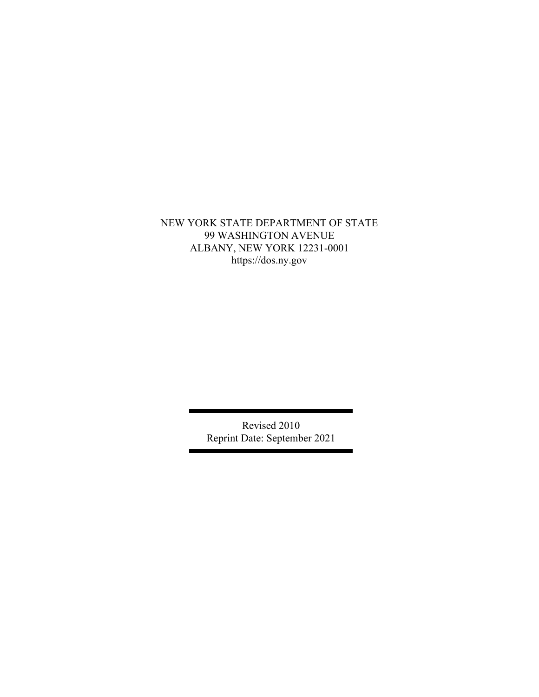### NEW YORK STATE DEPARTMENT OF STATE 99 WASHINGTON AVENUE ALBANY, NEW YORK 12231-0001 https://dos.ny.gov

Revised 2010 Reprint Date: September 2021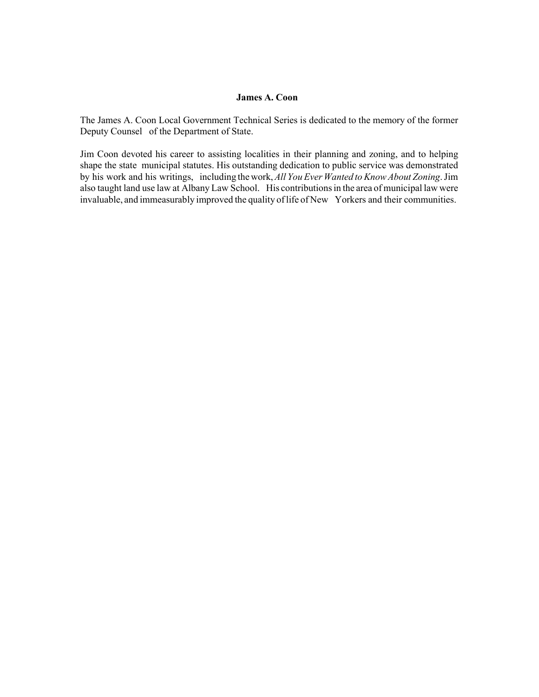#### **James A. Coon**

The James A. Coon Local Government Technical Series is dedicated to the memory of the former Deputy Counsel of the Department of State.

Jim Coon devoted his career to assisting localities in their planning and zoning, and to helping shape the state municipal statutes. His outstanding dedication to public service was demonstrated by his work and his writings, including the work, *All You Ever Wanted to Know About Zoning*. Jim also taught land use law at Albany Law School. His contributions in the area of municipal law were invaluable, and immeasurably improved the quality of life of New Yorkers and their communities.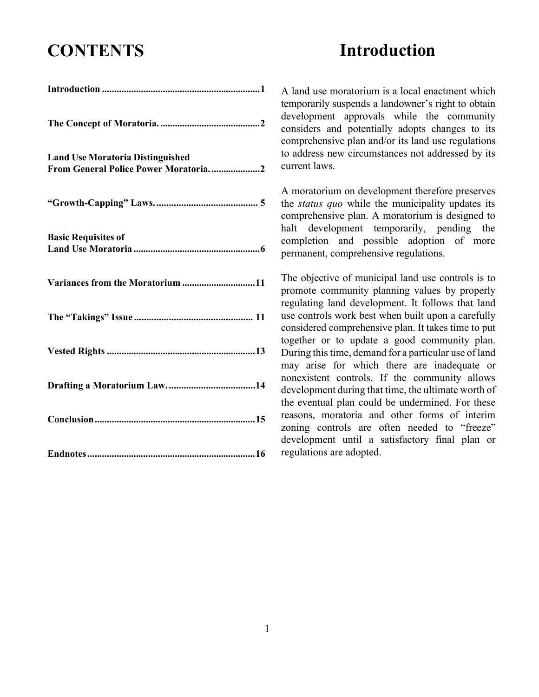# **CONTENTS**

## **Introduction**

| <b>Land Use Moratoria Distinguished</b><br>From General Police Power Moratoria2 |
|---------------------------------------------------------------------------------|
|                                                                                 |
| <b>Basic Requisites of</b>                                                      |
| Variances from the Moratorium 11                                                |
|                                                                                 |
|                                                                                 |
|                                                                                 |
|                                                                                 |
|                                                                                 |

A land use moratorium is a local enactment which temporarily suspends a landowner's right to obtain development approvals while the community considers and potentially adopts changes to its comprehensive plan and/or its land use regulations to address new circumstances not addressed by its current laws.

A moratorium on development therefore preserves the *status quo* while the municipality updates its comprehensive plan. A moratorium is designed to halt development temporarily, pending the completion and possible adoption of more permanent, comprehensive regulations.

The objective of municipal land use controls is to promote community planning values by properly regulating land development. It follows that land use controls work best when built upon a carefully considered comprehensive plan. It takes time to put together or to update a good community plan. During this time, demand for a particular use of land may arise for which there are inadequate or nonexistent controls. If the community allows development during that time, the ultimate worth of the eventual plan could be undermined. For these reasons, moratoria and other forms of interim zoning controls are often needed to "freeze" development until a satisfactory final plan or regulations are adopted.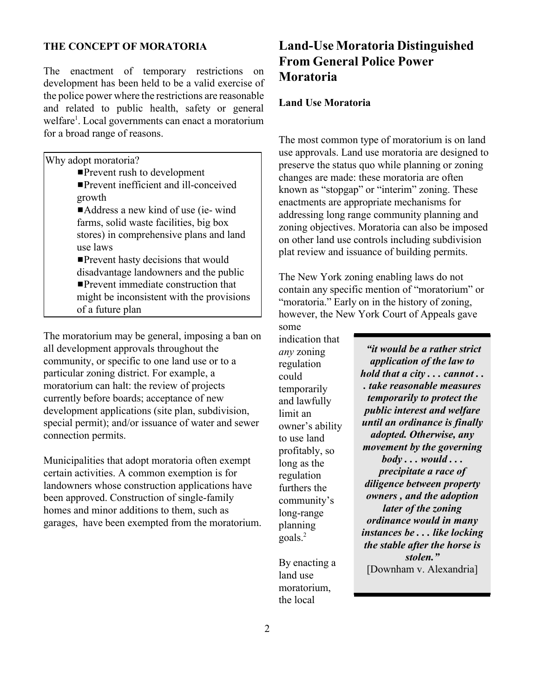#### **THE CONCEPT OF MORATORIA**

The enactment of temporary restrictions on development has been held to be a valid exercise of the police power where the restrictions are reasonable and related to public health, safety or general welfare<sup>1</sup>. Local governments can enact a moratorium for a broad range of reasons.

Why adopt moratoria?

- **Prevent rush to development Prevent inefficient and ill-conceived** growth  $\blacksquare$ Address a new kind of use (ie- wind farms, solid waste facilities, big box stores) in comprehensive plans and land use laws  $\blacksquare$  Prevent hasty decisions that would disadvantage landowners and the public  $\blacksquare$  Prevent immediate construction that
	- might be inconsistent with the provisions
	- of a future plan

The moratorium may be general, imposing a ban on all development approvals throughout the community, or specific to one land use or to a particular zoning district. For example, a moratorium can halt: the review of projects currently before boards; acceptance of new development applications (site plan, subdivision, special permit); and/or issuance of water and sewer connection permits.

Municipalities that adopt moratoria often exempt certain activities. A common exemption is for landowners whose construction applications have been approved. Construction of single-family homes and minor additions to them, such as garages, have been exempted from the moratorium.

## **Land-Use Moratoria Distinguished From General Police Power Moratoria**

#### **Land Use Moratoria**

The most common type of moratorium is on land use approvals. Land use moratoria are designed to preserve the status quo while planning or zoning changes are made: these moratoria are often known as "stopgap" or "interim" zoning. These enactments are appropriate mechanisms for addressing long range community planning and zoning objectives. Moratoria can also be imposed on other land use controls including subdivision plat review and issuance of building permits.

The New York zoning enabling laws do not contain any specific mention of "moratorium" or "moratoria." Early on in the history of zoning, however, the New York Court of Appeals gave

some indication that *any* zoning regulation could temporarily and lawfully limit an owner's ability to use land profitably, so long as the regulation furthers the community's long-range planning goals.<sup>2</sup>

By enacting a land use moratorium, the local

*"it would be a rather strict application of the law to hold that a city . . . cannot . . . take reasonable measures temporarily to protect the public interest and welfare until an ordinance is finally adopted. Otherwise, any movement by the governing body . . . would . . . precipitate a race of diligence between property owners , and the adoption later of the zoning ordinance would in many instances be . . . like locking the stable after the horse is stolen."* [Downham v. Alexandria]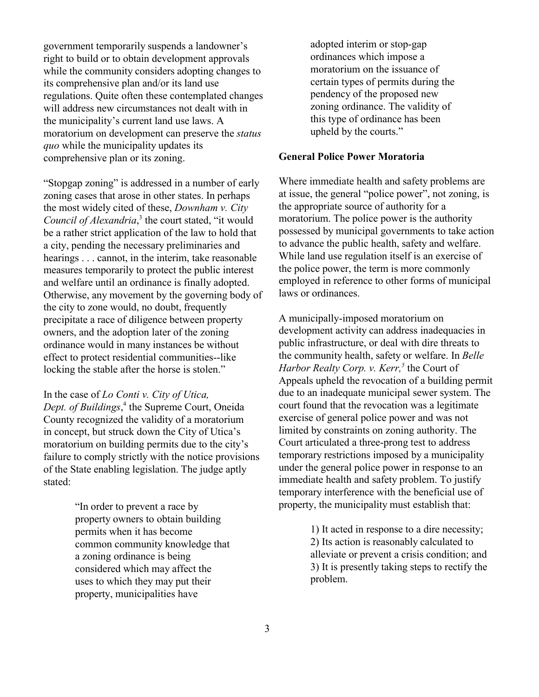government temporarily suspends a landowner's right to build or to obtain development approvals while the community considers adopting changes to its comprehensive plan and/or its land use regulations. Quite often these contemplated changes will address new circumstances not dealt with in the municipality's current land use laws. A moratorium on development can preserve the *status quo* while the municipality updates its comprehensive plan or its zoning.

"Stopgap zoning" is addressed in a number of early zoning cases that arose in other states. In perhaps the most widely cited of these, *Downham v. City*  Council of Alexandria,<sup>3</sup> the court stated, "it would be a rather strict application of the law to hold that a city, pending the necessary preliminaries and hearings . . . cannot, in the interim, take reasonable measures temporarily to protect the public interest and welfare until an ordinance is finally adopted. Otherwise, any movement by the governing body of the city to zone would, no doubt, frequently precipitate a race of diligence between property owners, and the adoption later of the zoning ordinance would in many instances be without effect to protect residential communities--like locking the stable after the horse is stolen."

In the case of *Lo Conti v. City of Utica, Dept. of Buildings*, 4 the Supreme Court, Oneida County recognized the validity of a moratorium in concept, but struck down the City of Utica's moratorium on building permits due to the city's failure to comply strictly with the notice provisions of the State enabling legislation. The judge aptly stated:

> "In order to prevent a race by property owners to obtain building permits when it has become common community knowledge that a zoning ordinance is being considered which may affect the uses to which they may put their property, municipalities have

adopted interim or stop-gap ordinances which impose a moratorium on the issuance of certain types of permits during the pendency of the proposed new zoning ordinance. The validity of this type of ordinance has been upheld by the courts."

#### **General Police Power Moratoria**

Where immediate health and safety problems are at issue, the general "police power", not zoning, is the appropriate source of authority for a moratorium. The police power is the authority possessed by municipal governments to take action to advance the public health, safety and welfare. While land use regulation itself is an exercise of the police power, the term is more commonly employed in reference to other forms of municipal laws or ordinances.

A municipally-imposed moratorium on development activity can address inadequacies in public infrastructure, or deal with dire threats to the community health, safety or welfare. In *Belle Harbor Realty Corp. v. Kerr*,<sup>5</sup> the Court of Appeals upheld the revocation of a building permit due to an inadequate municipal sewer system. The court found that the revocation was a legitimate exercise of general police power and was not limited by constraints on zoning authority. The Court articulated a three-prong test to address temporary restrictions imposed by a municipality under the general police power in response to an immediate health and safety problem. To justify temporary interference with the beneficial use of property, the municipality must establish that:

> 1) It acted in response to a dire necessity; 2) Its action is reasonably calculated to alleviate or prevent a crisis condition; and 3) It is presently taking steps to rectify the problem.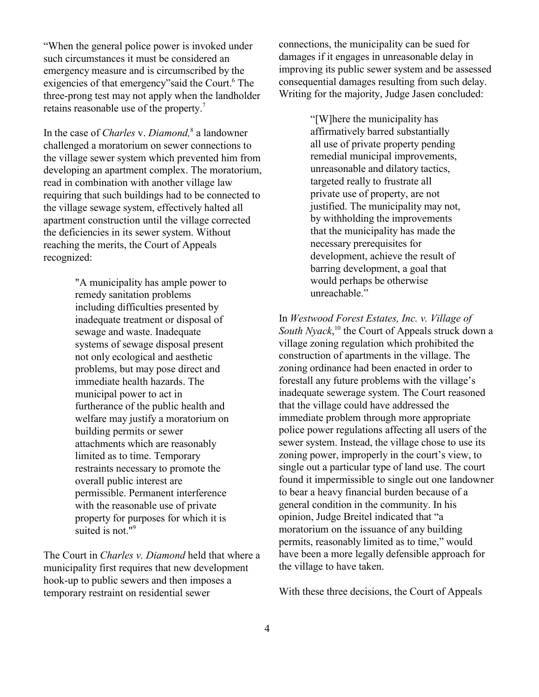"When the general police power is invoked under such circumstances it must be considered an emergency measure and is circumscribed by the exigencies of that emergency" said the Court.<sup>6</sup> The three-prong test may not apply when the landholder retains reasonable use of the property.7

In the case of *Charles* v. *Diamond,*8 a landowner challenged a moratorium on sewer connections to the village sewer system which prevented him from developing an apartment complex. The moratorium, read in combination with another village law requiring that such buildings had to be connected to the village sewage system, effectively halted all apartment construction until the village corrected the deficiencies in its sewer system. Without reaching the merits, the Court of Appeals recognized:

> "A municipality has ample power to remedy sanitation problems including difficulties presented by inadequate treatment or disposal of sewage and waste. Inadequate systems of sewage disposal present not only ecological and aesthetic problems, but may pose direct and immediate health hazards. The municipal power to act in furtherance of the public health and welfare may justify a moratorium on building permits or sewer attachments which are reasonably limited as to time. Temporary restraints necessary to promote the overall public interest are permissible. Permanent interference with the reasonable use of private property for purposes for which it is suited is not." $9$

The Court in *Charles v. Diamond* held that where a municipality first requires that new development hook-up to public sewers and then imposes a temporary restraint on residential sewer

connections, the municipality can be sued for damages if it engages in unreasonable delay in improving its public sewer system and be assessed consequential damages resulting from such delay. Writing for the majority, Judge Jasen concluded:

> "[W]here the municipality has affirmatively barred substantially all use of private property pending remedial municipal improvements, unreasonable and dilatory tactics, targeted really to frustrate all private use of property, are not justified. The municipality may not, by withholding the improvements that the municipality has made the necessary prerequisites for development, achieve the result of barring development, a goal that would perhaps be otherwise unreachable."

In *Westwood Forest Estates, Inc. v. Village of*  South Nyack,<sup>10</sup> the Court of Appeals struck down a village zoning regulation which prohibited the construction of apartments in the village. The zoning ordinance had been enacted in order to forestall any future problems with the village's inadequate sewerage system. The Court reasoned that the village could have addressed the immediate problem through more appropriate police power regulations affecting all users of the sewer system. Instead, the village chose to use its zoning power, improperly in the court's view, to single out a particular type of land use. The court found it impermissible to single out one landowner to bear a heavy financial burden because of a general condition in the community. In his opinion, Judge Breitel indicated that "a moratorium on the issuance of any building permits, reasonably limited as to time," would have been a more legally defensible approach for the village to have taken.

With these three decisions, the Court of Appeals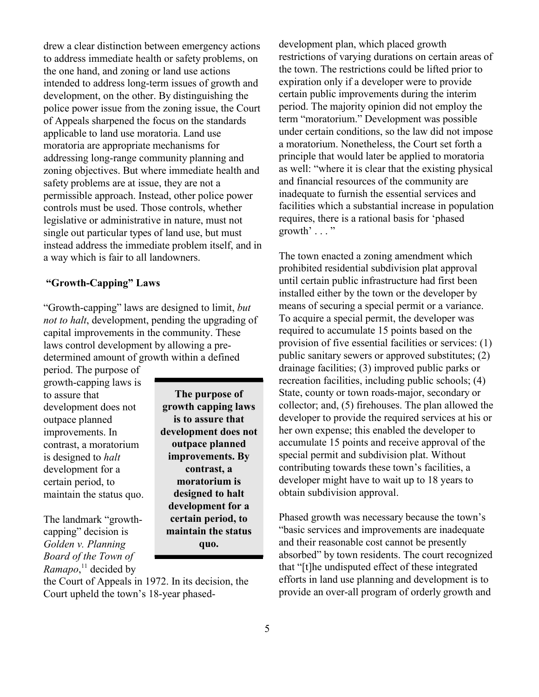drew a clear distinction between emergency actions to address immediate health or safety problems, on the one hand, and zoning or land use actions intended to address long-term issues of growth and development, on the other. By distinguishing the police power issue from the zoning issue, the Court of Appeals sharpened the focus on the standards applicable to land use moratoria. Land use moratoria are appropriate mechanisms for addressing long-range community planning and zoning objectives. But where immediate health and safety problems are at issue, they are not a permissible approach. Instead, other police power controls must be used. Those controls, whether legislative or administrative in nature, must not single out particular types of land use, but must instead address the immediate problem itself, and in a way which is fair to all landowners.

#### **"Growth-Capping" Laws**

"Growth-capping" laws are designed to limit, *but not to halt*, development, pending the upgrading of capital improvements in the community. These laws control development by allowing a predetermined amount of growth within a defined

period. The purpose of growth-capping laws is to assure that development does not outpace planned improvements. In contrast, a moratorium is designed to *halt*  development for a certain period, to maintain the status quo.

**The purpose of growth capping laws is to assure that development does not outpace planned improvements. By contrast, a moratorium is designed to halt development for a certain period, to maintain the status quo.**

The landmark "growthcapping" decision is *Golden v. Planning Board of the Town of Ramapo*, 11 decided by

the Court of Appeals in 1972. In its decision, the Court upheld the town's 18-year phaseddevelopment plan, which placed growth restrictions of varying durations on certain areas of the town. The restrictions could be lifted prior to expiration only if a developer were to provide certain public improvements during the interim period. The majority opinion did not employ the term "moratorium." Development was possible under certain conditions, so the law did not impose a moratorium. Nonetheless, the Court set forth a principle that would later be applied to moratoria as well: "where it is clear that the existing physical and financial resources of the community are inadequate to furnish the essential services and facilities which a substantial increase in population requires, there is a rational basis for 'phased growth'  $\ldots$  "

The town enacted a zoning amendment which prohibited residential subdivision plat approval until certain public infrastructure had first been installed either by the town or the developer by means of securing a special permit or a variance. To acquire a special permit, the developer was required to accumulate 15 points based on the provision of five essential facilities or services: (1) public sanitary sewers or approved substitutes; (2) drainage facilities; (3) improved public parks or recreation facilities, including public schools; (4) State, county or town roads-major, secondary or collector; and, (5) firehouses. The plan allowed the developer to provide the required services at his or her own expense; this enabled the developer to accumulate 15 points and receive approval of the special permit and subdivision plat. Without contributing towards these town's facilities, a developer might have to wait up to 18 years to obtain subdivision approval.

Phased growth was necessary because the town's "basic services and improvements are inadequate and their reasonable cost cannot be presently absorbed" by town residents. The court recognized that "[t]he undisputed effect of these integrated efforts in land use planning and development is to provide an over-all program of orderly growth and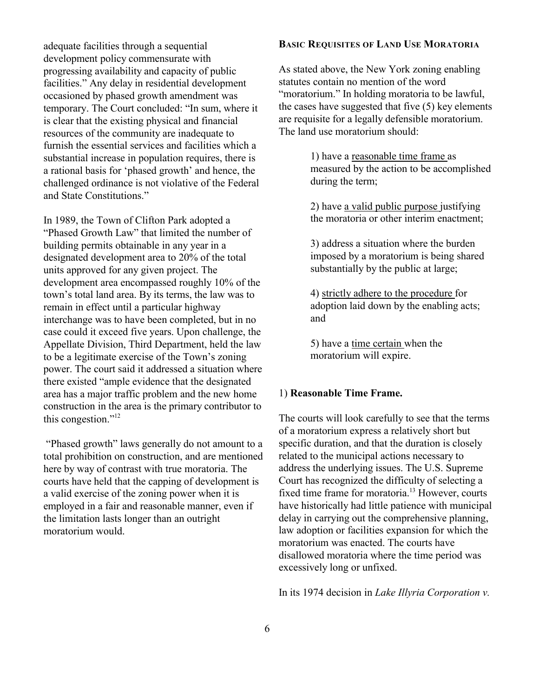adequate facilities through a sequential development policy commensurate with progressing availability and capacity of public facilities." Any delay in residential development occasioned by phased growth amendment was temporary. The Court concluded: "In sum, where it is clear that the existing physical and financial resources of the community are inadequate to furnish the essential services and facilities which a substantial increase in population requires, there is a rational basis for 'phased growth' and hence, the challenged ordinance is not violative of the Federal and State Constitutions."

In 1989, the Town of Clifton Park adopted a "Phased Growth Law" that limited the number of building permits obtainable in any year in a designated development area to 20% of the total units approved for any given project. The development area encompassed roughly 10% of the town's total land area. By its terms, the law was to remain in effect until a particular highway interchange was to have been completed, but in no case could it exceed five years. Upon challenge, the Appellate Division, Third Department, held the law to be a legitimate exercise of the Town's zoning power. The court said it addressed a situation where there existed "ample evidence that the designated area has a major traffic problem and the new home construction in the area is the primary contributor to this congestion."12

"Phased growth" laws generally do not amount to a total prohibition on construction, and are mentioned here by way of contrast with true moratoria. The courts have held that the capping of development is a valid exercise of the zoning power when it is employed in a fair and reasonable manner, even if the limitation lasts longer than an outright moratorium would.

#### **BASIC REQUISITES OF LAND USE MORATORIA**

As stated above, the New York zoning enabling statutes contain no mention of the word "moratorium." In holding moratoria to be lawful, the cases have suggested that five (5) key elements are requisite for a legally defensible moratorium. The land use moratorium should:

> 1) have a reasonable time frame as measured by the action to be accomplished during the term;

2) have a valid public purpose justifying the moratoria or other interim enactment;

3) address a situation where the burden imposed by a moratorium is being shared substantially by the public at large;

4) strictly adhere to the procedure for adoption laid down by the enabling acts; and

5) have a time certain when the moratorium will expire.

#### 1) **Reasonable Time Frame.**

The courts will look carefully to see that the terms of a moratorium express a relatively short but specific duration, and that the duration is closely related to the municipal actions necessary to address the underlying issues. The U.S. Supreme Court has recognized the difficulty of selecting a fixed time frame for moratoria.<sup>13</sup> However, courts have historically had little patience with municipal delay in carrying out the comprehensive planning, law adoption or facilities expansion for which the moratorium was enacted. The courts have disallowed moratoria where the time period was excessively long or unfixed.

In its 1974 decision in *Lake Illyria Corporation v.*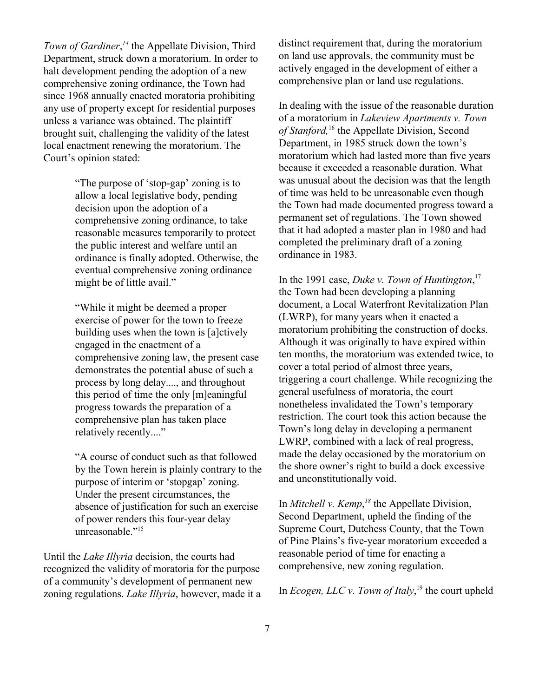Town of Gardiner,<sup>14</sup> the Appellate Division, Third Department, struck down a moratorium. In order to halt development pending the adoption of a new comprehensive zoning ordinance, the Town had since 1968 annually enacted moratoria prohibiting any use of property except for residential purposes unless a variance was obtained. The plaintiff brought suit, challenging the validity of the latest local enactment renewing the moratorium. The Court's opinion stated:

> "The purpose of 'stop-gap' zoning is to allow a local legislative body, pending decision upon the adoption of a comprehensive zoning ordinance, to take reasonable measures temporarily to protect the public interest and welfare until an ordinance is finally adopted. Otherwise, the eventual comprehensive zoning ordinance might be of little avail."

> "While it might be deemed a proper exercise of power for the town to freeze building uses when the town is [a]ctively engaged in the enactment of a comprehensive zoning law, the present case demonstrates the potential abuse of such a process by long delay...., and throughout this period of time the only [m]eaningful progress towards the preparation of a comprehensive plan has taken place relatively recently...."

"A course of conduct such as that followed by the Town herein is plainly contrary to the purpose of interim or 'stopgap' zoning. Under the present circumstances, the absence of justification for such an exercise of power renders this four-year delay unreasonable."<sup>15</sup>

Until the *Lake Illyria* decision, the courts had recognized the validity of moratoria for the purpose of a community's development of permanent new zoning regulations. *Lake Illyria*, however, made it a distinct requirement that, during the moratorium on land use approvals, the community must be actively engaged in the development of either a comprehensive plan or land use regulations.

In dealing with the issue of the reasonable duration of a moratorium in *Lakeview Apartments v. Town of Stanford,*16 the Appellate Division, Second Department, in 1985 struck down the town's moratorium which had lasted more than five years because it exceeded a reasonable duration. What was unusual about the decision was that the length of time was held to be unreasonable even though the Town had made documented progress toward a permanent set of regulations. The Town showed that it had adopted a master plan in 1980 and had completed the preliminary draft of a zoning ordinance in 1983.

In the 1991 case, *Duke v. Town of Huntington*, 17 the Town had been developing a planning document, a Local Waterfront Revitalization Plan (LWRP), for many years when it enacted a moratorium prohibiting the construction of docks. Although it was originally to have expired within ten months, the moratorium was extended twice, to cover a total period of almost three years, triggering a court challenge. While recognizing the general usefulness of moratoria, the court nonetheless invalidated the Town's temporary restriction. The court took this action because the Town's long delay in developing a permanent LWRP, combined with a lack of real progress, made the delay occasioned by the moratorium on the shore owner's right to build a dock excessive and unconstitutionally void.

In *Mitchell v. Kemp*,<sup>18</sup> the Appellate Division, Second Department, upheld the finding of the Supreme Court, Dutchess County, that the Town of Pine Plains's five-year moratorium exceeded a reasonable period of time for enacting a comprehensive, new zoning regulation.

In *Ecogen, LLC v. Town of Italy*, 19 the court upheld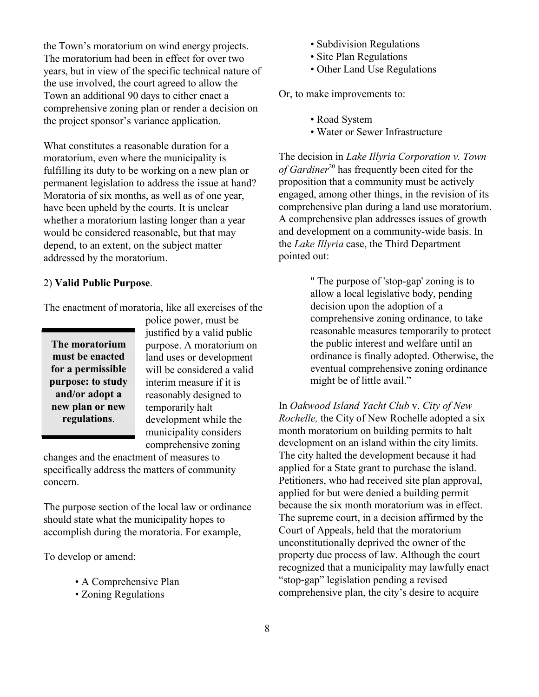the Town's moratorium on wind energy projects. The moratorium had been in effect for over two years, but in view of the specific technical nature of the use involved, the court agreed to allow the Town an additional 90 days to either enact a comprehensive zoning plan or render a decision on the project sponsor's variance application.

What constitutes a reasonable duration for a moratorium, even where the municipality is fulfilling its duty to be working on a new plan or permanent legislation to address the issue at hand? Moratoria of six months, as well as of one year, have been upheld by the courts. It is unclear whether a moratorium lasting longer than a year would be considered reasonable, but that may depend, to an extent, on the subject matter addressed by the moratorium.

#### 2) **Valid Public Purpose**.

The enactment of moratoria, like all exercises of the

| The moratorium<br>must be enacted<br>for a permissible |
|--------------------------------------------------------|
| purpose: to study<br>and/or adopt a                    |
| new plan or new<br>regulations.                        |

police power, must be justified by a valid public purpose. A moratorium on land uses or development will be considered a valid interim measure if it is reasonably designed to temporarily halt development while the municipality considers comprehensive zoning

changes and the enactment of measures to specifically address the matters of community concern.

The purpose section of the local law or ordinance should state what the municipality hopes to accomplish during the moratoria. For example,

To develop or amend:

- A Comprehensive Plan
- Zoning Regulations
- Subdivision Regulations
- Site Plan Regulations
- Other Land Use Regulations

Or, to make improvements to:

- Road System
- Water or Sewer Infrastructure

The decision in *Lake Illyria Corporation v. Town of Gardiner*<sup>20</sup> has frequently been cited for the proposition that a community must be actively engaged, among other things, in the revision of its comprehensive plan during a land use moratorium. A comprehensive plan addresses issues of growth and development on a community-wide basis. In the *Lake Illyria* case, the Third Department pointed out:

> " The purpose of 'stop-gap' zoning is to allow a local legislative body, pending decision upon the adoption of a comprehensive zoning ordinance, to take reasonable measures temporarily to protect the public interest and welfare until an ordinance is finally adopted. Otherwise, the eventual comprehensive zoning ordinance might be of little avail."

In *Oakwood Island Yacht Club* v. *City of New Rochelle,* the City of New Rochelle adopted a six month moratorium on building permits to halt development on an island within the city limits. The city halted the development because it had applied for a State grant to purchase the island. Petitioners, who had received site plan approval, applied for but were denied a building permit because the six month moratorium was in effect. The supreme court, in a decision affirmed by the Court of Appeals, held that the moratorium unconstitutionally deprived the owner of the property due process of law. Although the court recognized that a municipality may lawfully enact "stop-gap" legislation pending a revised comprehensive plan, the city's desire to acquire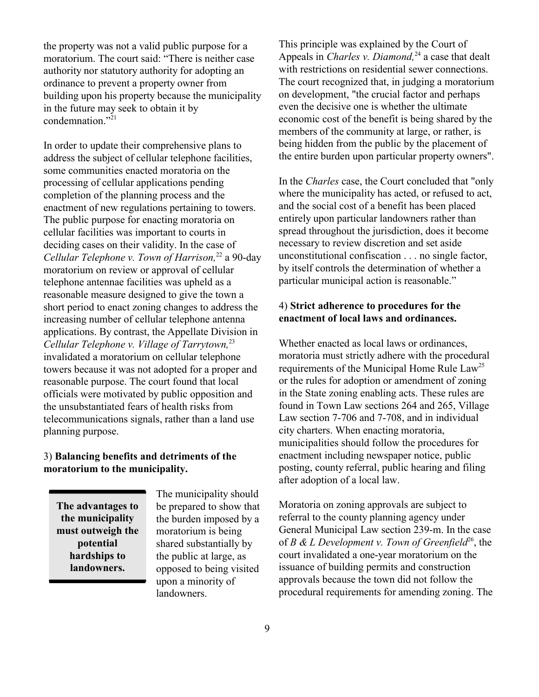the property was not a valid public purpose for a moratorium. The court said: "There is neither case authority nor statutory authority for adopting an ordinance to prevent a property owner from building upon his property because the municipality in the future may seek to obtain it by condemnation."<sup>21</sup>

In order to update their comprehensive plans to address the subject of cellular telephone facilities, some communities enacted moratoria on the processing of cellular applications pending completion of the planning process and the enactment of new regulations pertaining to towers. The public purpose for enacting moratoria on cellular facilities was important to courts in deciding cases on their validity. In the case of *Cellular Telephone v. Town of Harrison,*22 a 90-day moratorium on review or approval of cellular telephone antennae facilities was upheld as a reasonable measure designed to give the town a short period to enact zoning changes to address the increasing number of cellular telephone antenna applications. By contrast, the Appellate Division in *Cellular Telephone v. Village of Tarrytown,*<sup>23</sup> invalidated a moratorium on cellular telephone towers because it was not adopted for a proper and reasonable purpose. The court found that local officials were motivated by public opposition and the unsubstantiated fears of health risks from telecommunications signals, rather than a land use planning purpose.

#### 3) **Balancing benefits and detriments of the moratorium to the municipality.**

**The advantages to the municipality must outweigh the potential hardships to landowners.**

The municipality should be prepared to show that the burden imposed by a moratorium is being shared substantially by the public at large, as opposed to being visited upon a minority of landowners.

This principle was explained by the Court of Appeals in *Charles v. Diamond*<sup>24</sup> a case that dealt with restrictions on residential sewer connections. The court recognized that, in judging a moratorium on development, "the crucial factor and perhaps even the decisive one is whether the ultimate economic cost of the benefit is being shared by the members of the community at large, or rather, is being hidden from the public by the placement of the entire burden upon particular property owners".

In the *Charles* case, the Court concluded that "only where the municipality has acted, or refused to act, and the social cost of a benefit has been placed entirely upon particular landowners rather than spread throughout the jurisdiction, does it become necessary to review discretion and set aside unconstitutional confiscation . . . no single factor, by itself controls the determination of whether a particular municipal action is reasonable."

#### 4) **Strict adherence to procedures for the enactment of local laws and ordinances.**

Whether enacted as local laws or ordinances, moratoria must strictly adhere with the procedural requirements of the Municipal Home Rule Law<sup>25</sup> or the rules for adoption or amendment of zoning in the State zoning enabling acts. These rules are found in Town Law sections 264 and 265, Village Law section 7-706 and 7-708, and in individual city charters. When enacting moratoria, municipalities should follow the procedures for enactment including newspaper notice, public posting, county referral, public hearing and filing after adoption of a local law.

Moratoria on zoning approvals are subject to referral to the county planning agency under General Municipal Law section 239-m. In the case of *B & L Development v. Town of Greenfield*<sup>26</sup>, the court invalidated a one-year moratorium on the issuance of building permits and construction approvals because the town did not follow the procedural requirements for amending zoning. The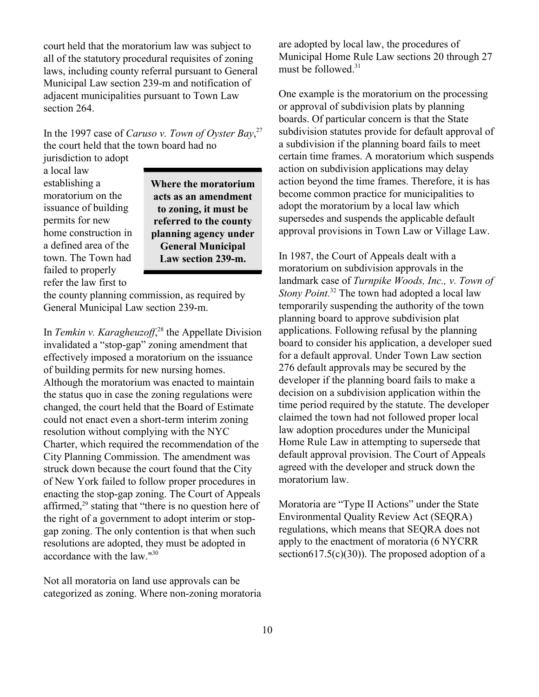court held that the moratorium law was subject to all of the statutory procedural requisites of zoning laws, including county referral pursuant to General Municipal Law section 239-m and notification of adjacent municipalities pursuant to Town Law section 264.

In the 1997 case of *Caruso v. Town of Oyster Bay*, 27 the court held that the town board had no

jurisdiction to adopt a local law establishing a moratorium on the issuance of building permits for new home construction in a defined area of the town. The Town had failed to properly refer the law first to

**Where the moratorium acts as an amendment to zoning, it must be referred to the county planning agency under General Municipal Law section 239-m.**

the county planning commission, as required by General Municipal Law section 239-m.

In *Temkin v. Karagheuzoff*<sup>28</sup>, the Appellate Division invalidated a "stop-gap" zoning amendment that effectively imposed a moratorium on the issuance of building permits for new nursing homes. Although the moratorium was enacted to maintain the status quo in case the zoning regulations were changed, the court held that the Board of Estimate could not enact even a short-term interim zoning resolution without complying with the NYC Charter, which required the recommendation of the City Planning Commission. The amendment was struck down because the court found that the City of New York failed to follow proper procedures in enacting the stop-gap zoning. The Court of Appeals affirmed,29 stating that "there is no question here of the right of a government to adopt interim or stopgap zoning. The only contention is that when such resolutions are adopted, they must be adopted in accordance with the law."30

Not all moratoria on land use approvals can be categorized as zoning. Where non-zoning moratoria are adopted by local law, the procedures of Municipal Home Rule Law sections 20 through 27 must be followed.<sup>31</sup>

One example is the moratorium on the processing or approval of subdivision plats by planning boards. Of particular concern is that the State subdivision statutes provide for default approval of a subdivision if the planning board fails to meet certain time frames. A moratorium which suspends action on subdivision applications may delay action beyond the time frames. Therefore, it is has become common practice for municipalities to adopt the moratorium by a local law which supersedes and suspends the applicable default approval provisions in Town Law or Village Law.

In 1987, the Court of Appeals dealt with a moratorium on subdivision approvals in the landmark case of *Turnpike Woods, Inc., v. Town of Stony Point.*32 The town had adopted a local law temporarily suspending the authority of the town planning board to approve subdivision plat applications. Following refusal by the planning board to consider his application, a developer sued for a default approval. Under Town Law section 276 default approvals may be secured by the developer if the planning board fails to make a decision on a subdivision application within the time period required by the statute. The developer claimed the town had not followed proper local law adoption procedures under the Municipal Home Rule Law in attempting to supersede that default approval provision. The Court of Appeals agreed with the developer and struck down the moratorium law.

Moratoria are "Type II Actions" under the State Environmental Quality Review Act (SEQRA) regulations, which means that SEQRA does not apply to the enactment of moratoria (6 NYCRR section617.5(c)(30)). The proposed adoption of a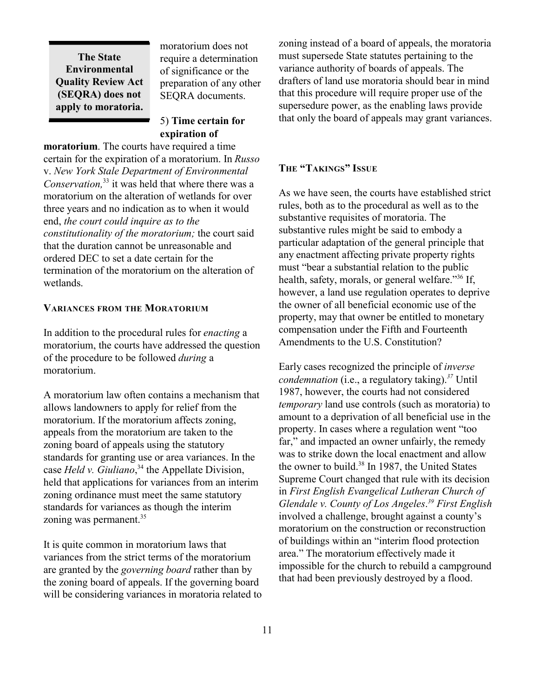**The State Environmental Quality Review Act (SEQRA) does not apply to moratoria.**

moratorium does not require a determination of significance or the preparation of any other SEQRA documents.

5) **Time certain for expiration of**

**moratorium**. The courts have required a time certain for the expiration of a moratorium. In *Russo* v. *New York Stale Department of Environmental Conservation,*33 it was held that where there was a moratorium on the alteration of wetlands for over three years and no indication as to when it would end, *the court could inquire as to the constitutionality of the moratorium;* the court said that the duration cannot be unreasonable and ordered DEC to set a date certain for the termination of the moratorium on the alteration of wetlands.

#### **VARIANCES FROM THE MORATORIUM**

In addition to the procedural rules for *enacting* a moratorium, the courts have addressed the question of the procedure to be followed *during* a moratorium.

A moratorium law often contains a mechanism that allows landowners to apply for relief from the moratorium. If the moratorium affects zoning, appeals from the moratorium are taken to the zoning board of appeals using the statutory standards for granting use or area variances. In the case *Held v. Giuliano*, 34 the Appellate Division, held that applications for variances from an interim zoning ordinance must meet the same statutory standards for variances as though the interim zoning was permanent.<sup>35</sup>

It is quite common in moratorium laws that variances from the strict terms of the moratorium are granted by the *governing board* rather than by the zoning board of appeals. If the governing board will be considering variances in moratoria related to zoning instead of a board of appeals, the moratoria must supersede State statutes pertaining to the variance authority of boards of appeals. The drafters of land use moratoria should bear in mind that this procedure will require proper use of the supersedure power, as the enabling laws provide that only the board of appeals may grant variances.

#### **THE "TAKINGS" ISSUE**

As we have seen, the courts have established strict rules, both as to the procedural as well as to the substantive requisites of moratoria. The substantive rules might be said to embody a particular adaptation of the general principle that any enactment affecting private property rights must "bear a substantial relation to the public health, safety, morals, or general welfare."<sup>36</sup> If, however, a land use regulation operates to deprive the owner of all beneficial economic use of the property, may that owner be entitled to monetary compensation under the Fifth and Fourteenth Amendments to the U.S. Constitution?

Early cases recognized the principle of *inverse condemnation* (i.e., a regulatory taking).<sup>37</sup> Until 1987, however, the courts had not considered *temporary* land use controls (such as moratoria) to amount to a deprivation of all beneficial use in the property. In cases where a regulation went "too far," and impacted an owner unfairly, the remedy was to strike down the local enactment and allow the owner to build.<sup>38</sup> In 1987, the United States Supreme Court changed that rule with its decision in *First English Evangelical Lutheran Church of Glendale v. County of Los Angeles*. *39 First English*  involved a challenge, brought against a county's moratorium on the construction or reconstruction of buildings within an "interim flood protection area." The moratorium effectively made it impossible for the church to rebuild a campground that had been previously destroyed by a flood.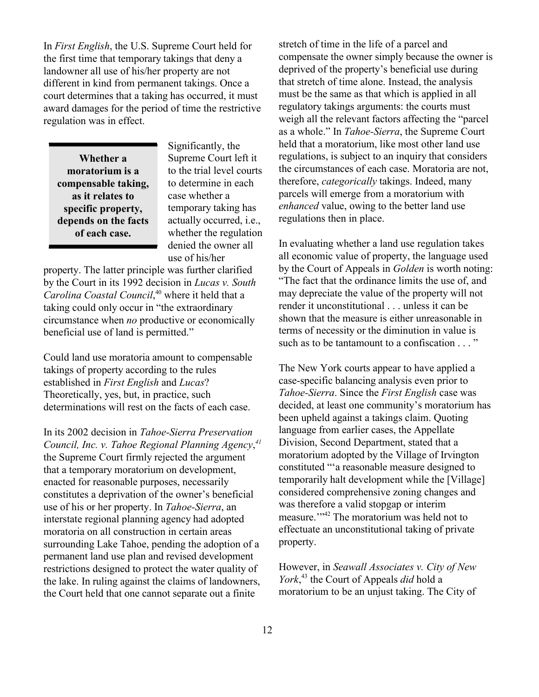In *First English*, the U.S. Supreme Court held for the first time that temporary takings that deny a landowner all use of his/her property are not different in kind from permanent takings. Once a court determines that a taking has occurred, it must award damages for the period of time the restrictive regulation was in effect.

**Whether a moratorium is a compensable taking, as it relates to specific property, depends on the facts of each case.**

Significantly, the Supreme Court left it to the trial level courts to determine in each case whether a temporary taking has actually occurred, i.e., whether the regulation denied the owner all use of his/her

property. The latter principle was further clarified by the Court in its 1992 decision in *Lucas v. South Carolina Coastal Council*, 40 where it held that a taking could only occur in "the extraordinary circumstance when *no* productive or economically beneficial use of land is permitted."

Could land use moratoria amount to compensable takings of property according to the rules established in *First English* and *Lucas*? Theoretically, yes, but, in practice, such determinations will rest on the facts of each case.

In its 2002 decision in *Tahoe-Sierra Preservation Council, Inc. v. Tahoe Regional Planning Agency*, *41* the Supreme Court firmly rejected the argument that a temporary moratorium on development, enacted for reasonable purposes, necessarily constitutes a deprivation of the owner's beneficial use of his or her property. In *Tahoe-Sierra*, an interstate regional planning agency had adopted moratoria on all construction in certain areas surrounding Lake Tahoe, pending the adoption of a permanent land use plan and revised development restrictions designed to protect the water quality of the lake. In ruling against the claims of landowners, the Court held that one cannot separate out a finite

stretch of time in the life of a parcel and compensate the owner simply because the owner is deprived of the property's beneficial use during that stretch of time alone. Instead, the analysis must be the same as that which is applied in all regulatory takings arguments: the courts must weigh all the relevant factors affecting the "parcel as a whole." In *Tahoe-Sierra*, the Supreme Court held that a moratorium, like most other land use regulations, is subject to an inquiry that considers the circumstances of each case. Moratoria are not, therefore, *categorically* takings. Indeed, many parcels will emerge from a moratorium with *enhanced* value, owing to the better land use regulations then in place.

In evaluating whether a land use regulation takes all economic value of property, the language used by the Court of Appeals in *Golden* is worth noting: "The fact that the ordinance limits the use of, and may depreciate the value of the property will not render it unconstitutional . . . unless it can be shown that the measure is either unreasonable in terms of necessity or the diminution in value is such as to be tantamount to a confiscation . . . "

The New York courts appear to have applied a case-specific balancing analysis even prior to *Tahoe-Sierra*. Since the *First English* case was decided, at least one community's moratorium has been upheld against a takings claim. Quoting language from earlier cases, the Appellate Division, Second Department, stated that a moratorium adopted by the Village of Irvington constituted "'a reasonable measure designed to temporarily halt development while the [Village] considered comprehensive zoning changes and was therefore a valid stopgap or interim measure.'"42 The moratorium was held not to effectuate an unconstitutional taking of private property.

However, in *Seawall Associates v. City of New York*, 43 the Court of Appeals *did* hold a moratorium to be an unjust taking. The City of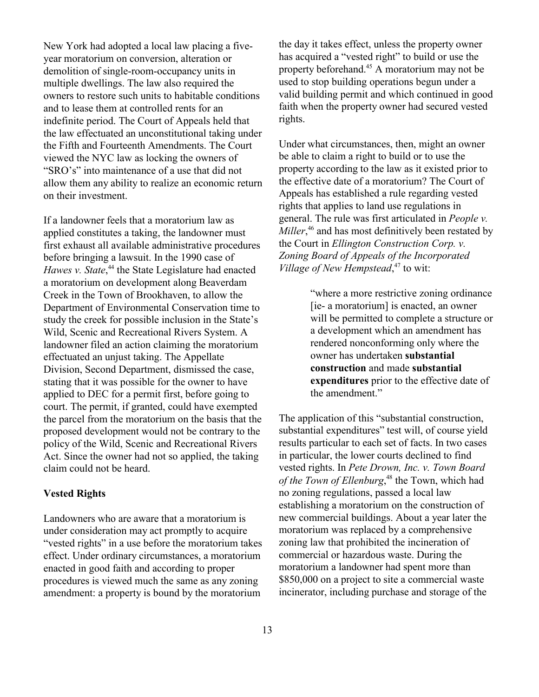New York had adopted a local law placing a fiveyear moratorium on conversion, alteration or demolition of single-room-occupancy units in multiple dwellings. The law also required the owners to restore such units to habitable conditions and to lease them at controlled rents for an indefinite period. The Court of Appeals held that the law effectuated an unconstitutional taking under the Fifth and Fourteenth Amendments. The Court viewed the NYC law as locking the owners of "SRO's" into maintenance of a use that did not allow them any ability to realize an economic return on their investment.

If a landowner feels that a moratorium law as applied constitutes a taking, the landowner must first exhaust all available administrative procedures before bringing a lawsuit. In the 1990 case of Hawes v. State,<sup>44</sup> the State Legislature had enacted a moratorium on development along Beaverdam Creek in the Town of Brookhaven, to allow the Department of Environmental Conservation time to study the creek for possible inclusion in the State's Wild, Scenic and Recreational Rivers System. A landowner filed an action claiming the moratorium effectuated an unjust taking. The Appellate Division, Second Department, dismissed the case, stating that it was possible for the owner to have applied to DEC for a permit first, before going to court. The permit, if granted, could have exempted the parcel from the moratorium on the basis that the proposed development would not be contrary to the policy of the Wild, Scenic and Recreational Rivers Act. Since the owner had not so applied, the taking claim could not be heard.

#### **Vested Rights**

Landowners who are aware that a moratorium is under consideration may act promptly to acquire "vested rights" in a use before the moratorium takes effect. Under ordinary circumstances, a moratorium enacted in good faith and according to proper procedures is viewed much the same as any zoning amendment: a property is bound by the moratorium

the day it takes effect, unless the property owner has acquired a "vested right" to build or use the property beforehand.45 A moratorium may not be used to stop building operations begun under a valid building permit and which continued in good faith when the property owner had secured vested rights.

Under what circumstances, then, might an owner be able to claim a right to build or to use the property according to the law as it existed prior to the effective date of a moratorium? The Court of Appeals has established a rule regarding vested rights that applies to land use regulations in general. The rule was first articulated in *People v.*  Miller<sup>46</sup> and has most definitively been restated by the Court in *Ellington Construction Corp. v. Zoning Board of Appeals of the Incorporated Village of New Hempstead*, 47 to wit:

> "where a more restrictive zoning ordinance [ie- a moratorium] is enacted, an owner will be permitted to complete a structure or a development which an amendment has rendered nonconforming only where the owner has undertaken **substantial construction** and made **substantial expenditures** prior to the effective date of the amendment."

The application of this "substantial construction, substantial expenditures" test will, of course yield results particular to each set of facts. In two cases in particular, the lower courts declined to find vested rights. In *Pete Drown, Inc. v. Town Board*  of the Town of Ellenburg,<sup>48</sup> the Town, which had no zoning regulations, passed a local law establishing a moratorium on the construction of new commercial buildings. About a year later the moratorium was replaced by a comprehensive zoning law that prohibited the incineration of commercial or hazardous waste. During the moratorium a landowner had spent more than \$850,000 on a project to site a commercial waste incinerator, including purchase and storage of the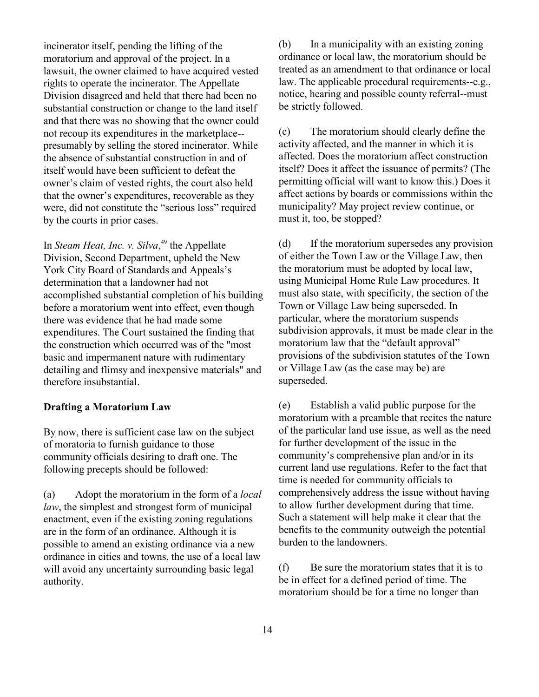incinerator itself, pending the lifting of the moratorium and approval of the project. In a lawsuit, the owner claimed to have acquired vested rights to operate the incinerator. The Appellate Division disagreed and held that there had been no substantial construction or change to the land itself and that there was no showing that the owner could not recoup its expenditures in the marketplace- presumably by selling the stored incinerator. While the absence of substantial construction in and of itself would have been sufficient to defeat the owner's claim of vested rights, the court also held that the owner's expenditures, recoverable as they were, did not constitute the "serious loss" required by the courts in prior cases.

In *Steam Heat, Inc. v. Silva*, 49 the Appellate Division, Second Department, upheld the New York City Board of Standards and Appeals's determination that a landowner had not accomplished substantial completion of his building before a moratorium went into effect, even though there was evidence that he had made some expenditures. The Court sustained the finding that the construction which occurred was of the "most basic and impermanent nature with rudimentary detailing and flimsy and inexpensive materials" and therefore insubstantial.

#### **Drafting a Moratorium Law**

By now, there is sufficient case law on the subject of moratoria to furnish guidance to those community officials desiring to draft one. The following precepts should be followed:

(a) Adopt the moratorium in the form of a *local law*, the simplest and strongest form of municipal enactment, even if the existing zoning regulations are in the form of an ordinance. Although it is possible to amend an existing ordinance via a new ordinance in cities and towns, the use of a local law will avoid any uncertainty surrounding basic legal authority.

(b) In a municipality with an existing zoning ordinance or local law, the moratorium should be treated as an amendment to that ordinance or local law. The applicable procedural requirements--e.g., notice, hearing and possible county referral--must be strictly followed.

(c) The moratorium should clearly define the activity affected, and the manner in which it is affected. Does the moratorium affect construction itself? Does it affect the issuance of permits? (The permitting official will want to know this.) Does it affect actions by boards or commissions within the municipality? May project review continue, or must it, too, be stopped?

(d) If the moratorium supersedes any provision of either the Town Law or the Village Law, then the moratorium must be adopted by local law, using Municipal Home Rule Law procedures. It must also state, with specificity, the section of the Town or Village Law being superseded. In particular, where the moratorium suspends subdivision approvals, it must be made clear in the moratorium law that the "default approval" provisions of the subdivision statutes of the Town or Village Law (as the case may be) are superseded.

(e) Establish a valid public purpose for the moratorium with a preamble that recites the nature of the particular land use issue, as well as the need for further development of the issue in the community's comprehensive plan and/or in its current land use regulations. Refer to the fact that time is needed for community officials to comprehensively address the issue without having to allow further development during that time. Such a statement will help make it clear that the benefits to the community outweigh the potential burden to the landowners.

(f) Be sure the moratorium states that it is to be in effect for a defined period of time. The moratorium should be for a time no longer than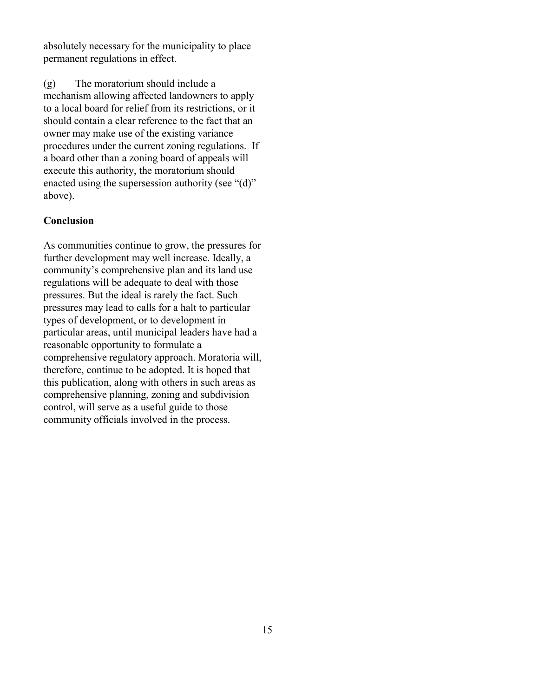absolutely necessary for the municipality to place permanent regulations in effect.

(g) The moratorium should include a mechanism allowing affected landowners to apply to a local board for relief from its restrictions, or it should contain a clear reference to the fact that an owner may make use of the existing variance procedures under the current zoning regulations. If a board other than a zoning board of appeals will execute this authority, the moratorium should enacted using the supersession authority (see "(d)" above).

#### **Conclusion**

As communities continue to grow, the pressures for further development may well increase. Ideally, a community's comprehensive plan and its land use regulations will be adequate to deal with those pressures. But the ideal is rarely the fact. Such pressures may lead to calls for a halt to particular types of development, or to development in particular areas, until municipal leaders have had a reasonable opportunity to formulate a comprehensive regulatory approach. Moratoria will, therefore, continue to be adopted. It is hoped that this publication, along with others in such areas as comprehensive planning, zoning and subdivision control, will serve as a useful guide to those community officials involved in the process.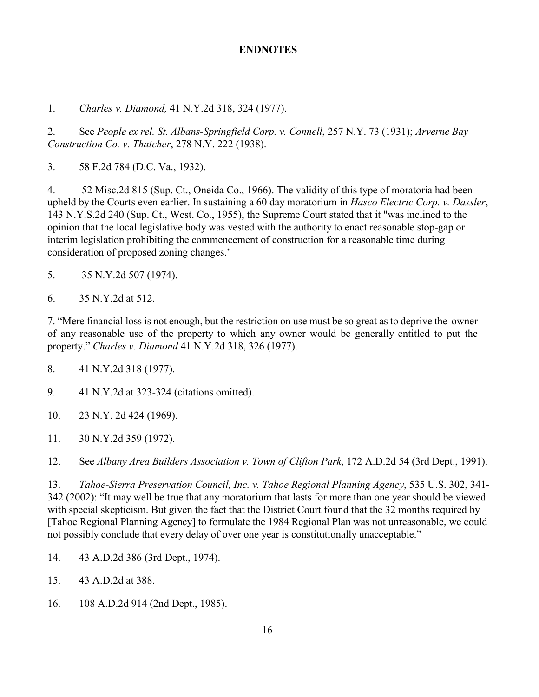#### **ENDNOTES**

1. *Charles v. Diamond,* 41 N.Y.2d 318, 324 (1977).

2. See *People ex rel. St. Albans-Springfield Corp. v. Connell*, 257 N.Y. 73 (1931); *Arverne Bay Construction Co. v. Thatcher*, 278 N.Y. 222 (1938).

3. 58 F.2d 784 (D.C. Va., 1932).

4. 52 Misc.2d 815 (Sup. Ct., Oneida Co., 1966). The validity of this type of moratoria had been upheld by the Courts even earlier. In sustaining a 60 day moratorium in *Hasco Electric Corp. v. Dassler*, 143 N.Y.S.2d 240 (Sup. Ct., West. Co., 1955), the Supreme Court stated that it "was inclined to the opinion that the local legislative body was vested with the authority to enact reasonable stop-gap or interim legislation prohibiting the commencement of construction for a reasonable time during consideration of proposed zoning changes."

- 5. 35 N.Y.2d 507 (1974).
- 6. 35 N.Y.2d at 512.

7. "Mere financial loss is not enough, but the restriction on use must be so great as to deprive the owner of any reasonable use of the property to which any owner would be generally entitled to put the property." *Charles v. Diamond* 41 N.Y.2d 318, 326 (1977).

8. 41 N.Y.2d 318 (1977).

9. 41 N.Y.2d at 323-324 (citations omitted).

- 10. 23 N.Y. 2d 424 (1969).
- 11. 30 N.Y.2d 359 (1972).

12. See *Albany Area Builders Association v. Town of Clifton Park*, 172 A.D.2d 54 (3rd Dept., 1991).

13. *Tahoe-Sierra Preservation Council, Inc. v. Tahoe Regional Planning Agency*, 535 U.S. 302, 341- 342 (2002): "It may well be true that any moratorium that lasts for more than one year should be viewed with special skepticism. But given the fact that the District Court found that the 32 months required by [Tahoe Regional Planning Agency] to formulate the 1984 Regional Plan was not unreasonable, we could not possibly conclude that every delay of over one year is constitutionally unacceptable."

- 14. 43 A.D.2d 386 (3rd Dept., 1974).
- 15. 43 A.D.2d at 388.
- 16. 108 A.D.2d 914 (2nd Dept., 1985).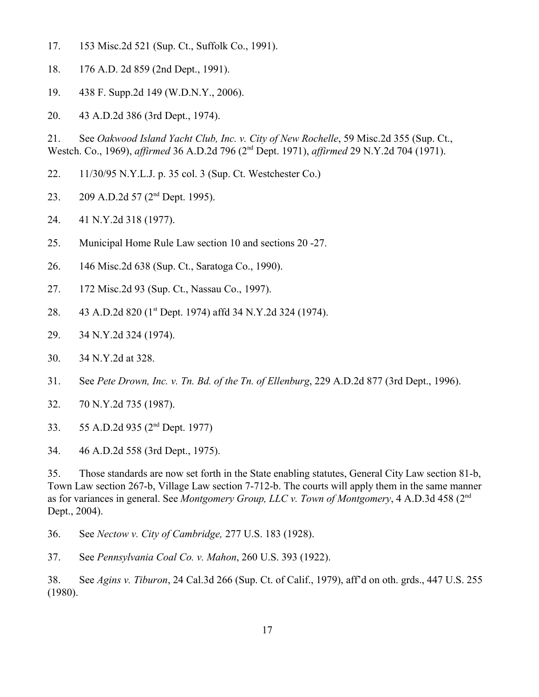- 17. 153 Misc.2d 521 (Sup. Ct., Suffolk Co., 1991).
- 18. 176 A.D. 2d 859 (2nd Dept., 1991).
- 19. 438 F. Supp.2d 149 (W.D.N.Y., 2006).
- 20. 43 A.D.2d 386 (3rd Dept., 1974).

21. See *Oakwood Island Yacht Club, Inc. v. City of New Rochelle*, 59 Misc.2d 355 (Sup. Ct., Westch. Co., 1969), *affirmed* 36 A.D.2d 796 (2nd Dept. 1971), *affirmed* 29 N.Y.2d 704 (1971).

- 22. 11/30/95 N.Y.L.J. p. 35 col. 3 (Sup. Ct. Westchester Co.)
- 23. 209 A.D.2d 57 (2<sup>nd</sup> Dept. 1995).
- 24. 41 N.Y.2d 318 (1977).
- 25. Municipal Home Rule Law section 10 and sections 20 -27.
- 26. 146 Misc.2d 638 (Sup. Ct., Saratoga Co., 1990).
- 27. 172 Misc.2d 93 (Sup. Ct., Nassau Co., 1997).
- 28. 43 A.D.2d 820 (1st Dept. 1974) affd 34 N.Y.2d 324 (1974).
- 29. 34 N.Y.2d 324 (1974).
- 30. 34 N.Y.2d at 328.
- 31. See *Pete Drown, Inc. v. Tn. Bd. of the Tn. of Ellenburg*, 229 A.D.2d 877 (3rd Dept., 1996).
- 32. 70 N.Y.2d 735 (1987).
- 33. 55 A.D.2d 935 (2nd Dept. 1977)
- 34. 46 A.D.2d 558 (3rd Dept., 1975).

35. Those standards are now set forth in the State enabling statutes, General City Law section 81-b, Town Law section 267-b, Village Law section 7-712-b. The courts will apply them in the same manner as for variances in general. See *Montgomery Group, LLC v. Town of Montgomery*, 4 A.D.3d 458 (2nd Dept., 2004).

36. See *Nectow v. City of Cambridge,* 277 U.S. 183 (1928).

37. See *Pennsylvania Coal Co. v. Mahon*, 260 U.S. 393 (1922).

38. See *Agins v. Tiburon*, 24 Cal.3d 266 (Sup. Ct. of Calif., 1979), aff'd on oth. grds., 447 U.S. 255 (1980).